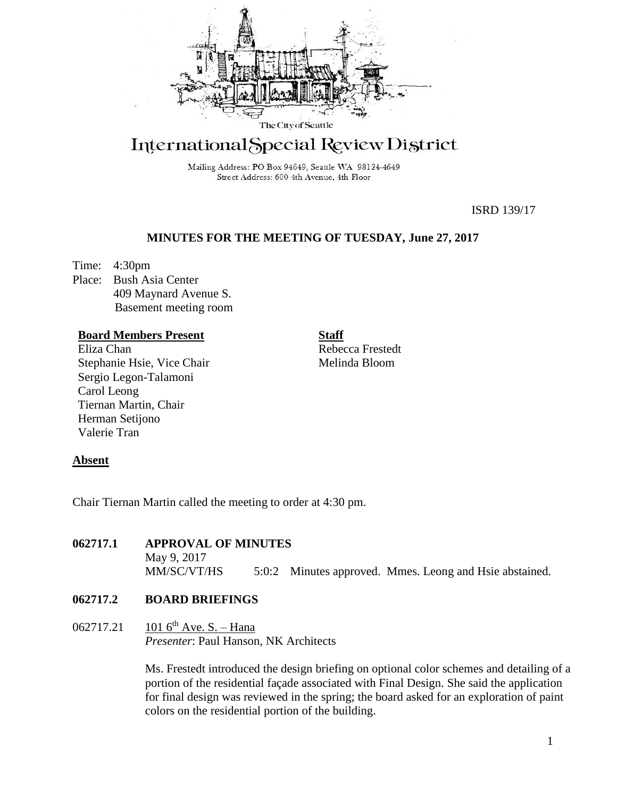

# International Special Review District

Mailing Address: PO Box 94649, Seattle WA 98124-4649 Street Address: 600 4th Avenue, 4th Floor

ISRD 139/17

# **MINUTES FOR THE MEETING OF TUESDAY, June 27, 2017**

Time: 4:30pm Place: Bush Asia Center 409 Maynard Avenue S. Basement meeting room

## **Board Members Present**

Eliza Chan Stephanie Hsie, Vice Chair Sergio Legon-Talamoni Carol Leong Tiernan Martin, Chair Herman Setijono Valerie Tran

**Staff** Rebecca Frestedt Melinda Bloom

#### **Absent**

Chair Tiernan Martin called the meeting to order at 4:30 pm.

## **062717.1 APPROVAL OF MINUTES**

May 9, 2017 MM/SC/VT/HS 5:0:2 Minutes approved. Mmes. Leong and Hsie abstained.

## **062717.2 BOARD BRIEFINGS**

# 062717.21 101 6<sup>th</sup> Ave. S. – Hana *Presenter*: Paul Hanson, NK Architects

Ms. Frestedt introduced the design briefing on optional color schemes and detailing of a portion of the residential façade associated with Final Design. She said the application for final design was reviewed in the spring; the board asked for an exploration of paint colors on the residential portion of the building.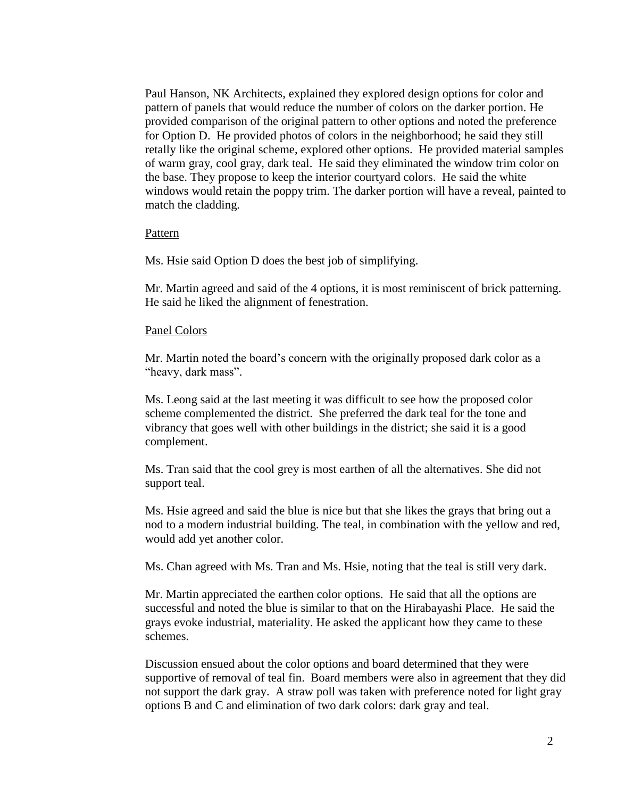Paul Hanson, NK Architects, explained they explored design options for color and pattern of panels that would reduce the number of colors on the darker portion. He provided comparison of the original pattern to other options and noted the preference for Option D. He provided photos of colors in the neighborhood; he said they still retally like the original scheme, explored other options. He provided material samples of warm gray, cool gray, dark teal. He said they eliminated the window trim color on the base. They propose to keep the interior courtyard colors. He said the white windows would retain the poppy trim. The darker portion will have a reveal, painted to match the cladding.

#### Pattern

Ms. Hsie said Option D does the best job of simplifying.

Mr. Martin agreed and said of the 4 options, it is most reminiscent of brick patterning. He said he liked the alignment of fenestration.

#### Panel Colors

Mr. Martin noted the board's concern with the originally proposed dark color as a "heavy, dark mass".

Ms. Leong said at the last meeting it was difficult to see how the proposed color scheme complemented the district. She preferred the dark teal for the tone and vibrancy that goes well with other buildings in the district; she said it is a good complement.

Ms. Tran said that the cool grey is most earthen of all the alternatives. She did not support teal.

Ms. Hsie agreed and said the blue is nice but that she likes the grays that bring out a nod to a modern industrial building. The teal, in combination with the yellow and red, would add yet another color.

Ms. Chan agreed with Ms. Tran and Ms. Hsie, noting that the teal is still very dark.

Mr. Martin appreciated the earthen color options. He said that all the options are successful and noted the blue is similar to that on the Hirabayashi Place. He said the grays evoke industrial, materiality. He asked the applicant how they came to these schemes.

Discussion ensued about the color options and board determined that they were supportive of removal of teal fin. Board members were also in agreement that they did not support the dark gray. A straw poll was taken with preference noted for light gray options B and C and elimination of two dark colors: dark gray and teal.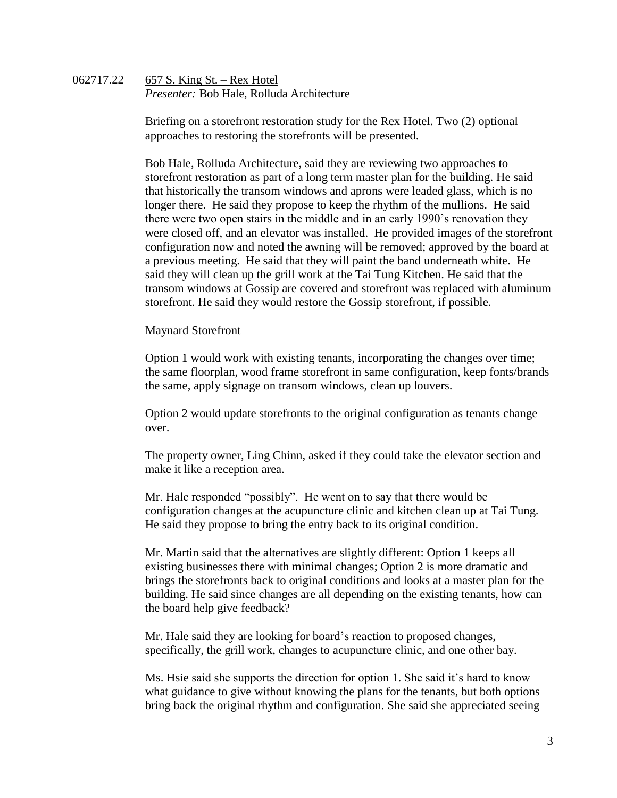## 062717.22 657 S. King St. – Rex Hotel *Presenter:* Bob Hale, Rolluda Architecture

Briefing on a storefront restoration study for the Rex Hotel. Two (2) optional approaches to restoring the storefronts will be presented.

Bob Hale, Rolluda Architecture, said they are reviewing two approaches to storefront restoration as part of a long term master plan for the building. He said that historically the transom windows and aprons were leaded glass, which is no longer there. He said they propose to keep the rhythm of the mullions. He said there were two open stairs in the middle and in an early 1990's renovation they were closed off, and an elevator was installed. He provided images of the storefront configuration now and noted the awning will be removed; approved by the board at a previous meeting. He said that they will paint the band underneath white. He said they will clean up the grill work at the Tai Tung Kitchen. He said that the transom windows at Gossip are covered and storefront was replaced with aluminum storefront. He said they would restore the Gossip storefront, if possible.

# Maynard Storefront

Option 1 would work with existing tenants, incorporating the changes over time; the same floorplan, wood frame storefront in same configuration, keep fonts/brands the same, apply signage on transom windows, clean up louvers.

Option 2 would update storefronts to the original configuration as tenants change over.

The property owner, Ling Chinn, asked if they could take the elevator section and make it like a reception area.

Mr. Hale responded "possibly". He went on to say that there would be configuration changes at the acupuncture clinic and kitchen clean up at Tai Tung. He said they propose to bring the entry back to its original condition.

Mr. Martin said that the alternatives are slightly different: Option 1 keeps all existing businesses there with minimal changes; Option 2 is more dramatic and brings the storefronts back to original conditions and looks at a master plan for the building. He said since changes are all depending on the existing tenants, how can the board help give feedback?

Mr. Hale said they are looking for board's reaction to proposed changes, specifically, the grill work, changes to acupuncture clinic, and one other bay.

Ms. Hsie said she supports the direction for option 1. She said it's hard to know what guidance to give without knowing the plans for the tenants, but both options bring back the original rhythm and configuration. She said she appreciated seeing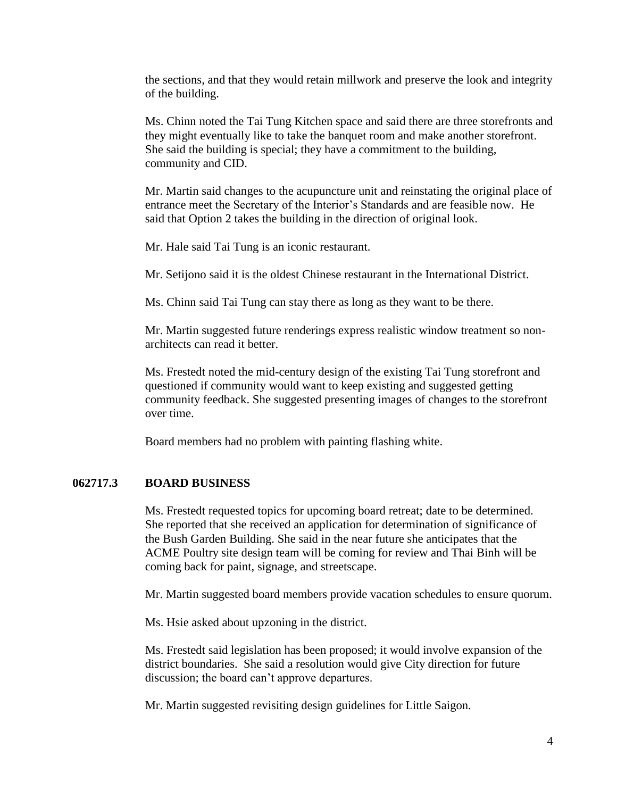the sections, and that they would retain millwork and preserve the look and integrity of the building.

Ms. Chinn noted the Tai Tung Kitchen space and said there are three storefronts and they might eventually like to take the banquet room and make another storefront. She said the building is special; they have a commitment to the building, community and CID.

Mr. Martin said changes to the acupuncture unit and reinstating the original place of entrance meet the Secretary of the Interior's Standards and are feasible now. He said that Option 2 takes the building in the direction of original look.

Mr. Hale said Tai Tung is an iconic restaurant.

Mr. Setijono said it is the oldest Chinese restaurant in the International District.

Ms. Chinn said Tai Tung can stay there as long as they want to be there.

Mr. Martin suggested future renderings express realistic window treatment so nonarchitects can read it better.

Ms. Frestedt noted the mid-century design of the existing Tai Tung storefront and questioned if community would want to keep existing and suggested getting community feedback. She suggested presenting images of changes to the storefront over time.

Board members had no problem with painting flashing white.

# **062717.3 BOARD BUSINESS**

Ms. Frestedt requested topics for upcoming board retreat; date to be determined. She reported that she received an application for determination of significance of the Bush Garden Building. She said in the near future she anticipates that the ACME Poultry site design team will be coming for review and Thai Binh will be coming back for paint, signage, and streetscape.

Mr. Martin suggested board members provide vacation schedules to ensure quorum.

Ms. Hsie asked about upzoning in the district.

Ms. Frestedt said legislation has been proposed; it would involve expansion of the district boundaries. She said a resolution would give City direction for future discussion; the board can't approve departures.

Mr. Martin suggested revisiting design guidelines for Little Saigon.